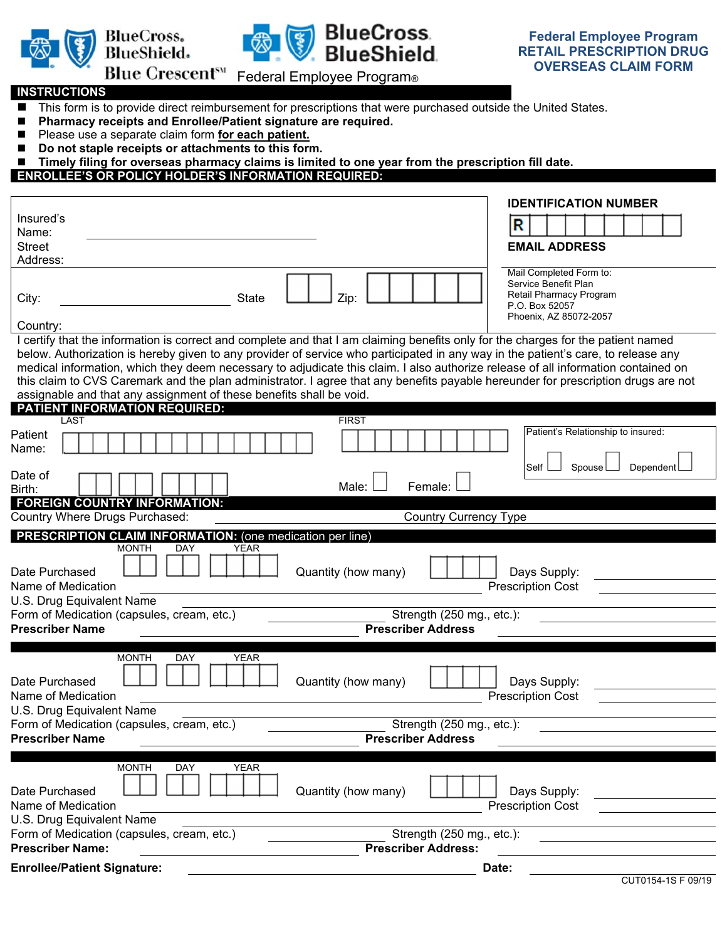



## **BlueCross**<br>**BlueShield**

## **INSTRUCTIONS**

- This form is to provide direct reimbursement for prescriptions that were purchased outside the United States.
- Pharmacy receipts and Enrollee/Patient signature are required.
- Please use a separate claim form **for each patient.**
- Do not staple receipts or attachments to this form.
- Timely filing for overseas pharmacy claims is limited to one year from the prescription fill date.
- **ENROLLEE'S OR POLICY HOLDER'S INFORMATION REQUIRED:**

|                                                                                                                                                                                                                                                                        |       | <b>IDENTIFICATION NUMBER</b>                    |  |                                    |  |           |                    |
|------------------------------------------------------------------------------------------------------------------------------------------------------------------------------------------------------------------------------------------------------------------------|-------|-------------------------------------------------|--|------------------------------------|--|-----------|--------------------|
| Insured's                                                                                                                                                                                                                                                              | R     |                                                 |  |                                    |  |           |                    |
| Name:<br><b>Street</b>                                                                                                                                                                                                                                                 |       | <b>EMAIL ADDRESS</b>                            |  |                                    |  |           |                    |
| Address:                                                                                                                                                                                                                                                               |       |                                                 |  |                                    |  |           |                    |
|                                                                                                                                                                                                                                                                        |       | Mail Completed Form to:<br>Service Benefit Plan |  |                                    |  |           |                    |
| <b>State</b><br>Zip<br>City:                                                                                                                                                                                                                                           |       | Retail Pharmacy Program                         |  |                                    |  |           |                    |
|                                                                                                                                                                                                                                                                        |       | P.O. Box 52057<br>Phoenix, AZ 85072-2057        |  |                                    |  |           |                    |
| Country:                                                                                                                                                                                                                                                               |       |                                                 |  |                                    |  |           |                    |
| I certify that the information is correct and complete and that I am claiming benefits only for the charges for the patient named<br>below. Authorization is hereby given to any provider of service who participated in any way in the patient's care, to release any |       |                                                 |  |                                    |  |           |                    |
| medical information, which they deem necessary to adjudicate this claim. I also authorize release of all information contained on                                                                                                                                      |       |                                                 |  |                                    |  |           |                    |
| this claim to CVS Caremark and the plan administrator. I agree that any benefits payable hereunder for prescription drugs are not                                                                                                                                      |       |                                                 |  |                                    |  |           |                    |
| assignable and that any assignment of these benefits shall be void.                                                                                                                                                                                                    |       |                                                 |  |                                    |  |           |                    |
| <b>PATIENT INFORMATION REQUIRED:</b><br>LAST<br><b>FIRST</b>                                                                                                                                                                                                           |       |                                                 |  |                                    |  |           |                    |
| Patient                                                                                                                                                                                                                                                                |       |                                                 |  | Patient's Relationship to insured: |  |           |                    |
| Name:                                                                                                                                                                                                                                                                  |       |                                                 |  |                                    |  |           |                    |
| Date of                                                                                                                                                                                                                                                                |       | Self                                            |  | Spouse                             |  | Dependent |                    |
| Male:<br>Female:<br>Birth:                                                                                                                                                                                                                                             |       |                                                 |  |                                    |  |           |                    |
| <b>FOREIGN COUNTRY INFORMATION:</b>                                                                                                                                                                                                                                    |       |                                                 |  |                                    |  |           |                    |
| Country Where Drugs Purchased:<br><b>Country Currency Type</b><br>$\blacktriangledown$                                                                                                                                                                                 |       |                                                 |  |                                    |  |           |                    |
| <b>PRESCRIPTION CLAIM INFORMATION:</b> (one medication per line)<br><b>MONTH</b><br>DAY<br>YEAR                                                                                                                                                                        |       |                                                 |  |                                    |  |           |                    |
|                                                                                                                                                                                                                                                                        |       |                                                 |  |                                    |  |           |                    |
| Quantity (how many)<br>Date Purchased                                                                                                                                                                                                                                  |       | Days Supply:                                    |  |                                    |  |           |                    |
| Name of Medication<br>U.S. Drug Equivalent Name                                                                                                                                                                                                                        |       | <b>Prescription Cost</b>                        |  |                                    |  |           |                    |
| Strength (250 mg., etc.):<br>Form of Medication (capsules, cream, etc.)                                                                                                                                                                                                |       |                                                 |  |                                    |  |           |                    |
| <b>Prescriber Name</b><br><b>Prescriber Address</b>                                                                                                                                                                                                                    |       |                                                 |  |                                    |  |           |                    |
|                                                                                                                                                                                                                                                                        |       |                                                 |  |                                    |  |           |                    |
| <b>MONTH</b><br><b>DAY</b><br><b>YEAR</b>                                                                                                                                                                                                                              |       |                                                 |  |                                    |  |           |                    |
| Quantity (how many)<br>Date Purchased                                                                                                                                                                                                                                  |       | Days Supply:                                    |  |                                    |  |           |                    |
| Name of Medication                                                                                                                                                                                                                                                     |       | <b>Prescription Cost</b>                        |  |                                    |  |           |                    |
| U.S. Drug Equivalent Name<br>Strength (250 mg., etc.):<br>Form of Medication (capsules, cream, etc.)                                                                                                                                                                   |       |                                                 |  |                                    |  |           |                    |
| <b>Prescriber Name</b><br><b>Prescriber Address</b>                                                                                                                                                                                                                    |       |                                                 |  |                                    |  |           |                    |
|                                                                                                                                                                                                                                                                        |       |                                                 |  |                                    |  |           |                    |
| <b>MONTH</b><br><b>YEAR</b><br>DAY                                                                                                                                                                                                                                     |       |                                                 |  |                                    |  |           |                    |
| Quantity (how many)<br>Date Purchased                                                                                                                                                                                                                                  |       | Days Supply:                                    |  |                                    |  |           |                    |
| Name of Medication                                                                                                                                                                                                                                                     |       | <b>Prescription Cost</b>                        |  |                                    |  |           |                    |
| U.S. Drug Equivalent Name                                                                                                                                                                                                                                              |       |                                                 |  |                                    |  |           |                    |
| Form of Medication (capsules, cream, etc.)<br>Strength (250 mg., etc.):<br><b>Prescriber Name:</b><br><b>Prescriber Address:</b>                                                                                                                                       |       |                                                 |  |                                    |  |           |                    |
| <b>Enrollee/Patient Signature:</b>                                                                                                                                                                                                                                     |       |                                                 |  |                                    |  |           |                    |
|                                                                                                                                                                                                                                                                        | Date: |                                                 |  |                                    |  |           | CUT0154-1S F 09/19 |